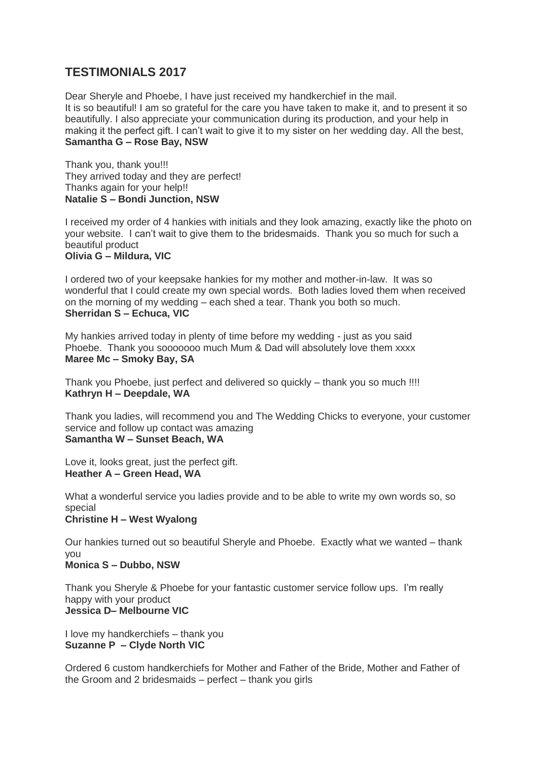# **TESTIMONIALS 2017**

Dear Sheryle and Phoebe, I have just received my handkerchief in the mail. It is so beautiful! I am so grateful for the care you have taken to make it, and to present it so beautifully. I also appreciate your communication during its production, and your help in making it the perfect gift. I can't wait to give it to my sister on her wedding day. All the best, **Samantha G – Rose Bay, NSW**

Thank you, thank you!!! They arrived today and they are perfect! Thanks again for your help!! **Natalie S – Bondi Junction, NSW**

I received my order of 4 hankies with initials and they look amazing, exactly like the photo on your website. I can't wait to give them to the bridesmaids. Thank you so much for such a beautiful product **Olivia G – Mildura, VIC**

I ordered two of your keepsake hankies for my mother and mother-in-law. It was so wonderful that I could create my own special words. Both ladies loved them when received on the morning of my wedding – each shed a tear. Thank you both so much. **Sherridan S – Echuca, VIC**

My hankies arrived today in plenty of time before my wedding - just as you said Phoebe. Thank you sooooooo much Mum & Dad will absolutely love them xxxx **Maree Mc – Smoky Bay, SA**

Thank you Phoebe, just perfect and delivered so quickly – thank you so much !!!! **Kathryn H – Deepdale, WA**

Thank you ladies, will recommend you and The Wedding Chicks to everyone, your customer service and follow up contact was amazing **Samantha W – Sunset Beach, WA**

Love it, looks great, just the perfect gift. **Heather A – Green Head, WA**

What a wonderful service you ladies provide and to be able to write my own words so, so special **Christine H – West Wyalong**

Our hankies turned out so beautiful Sheryle and Phoebe. Exactly what we wanted – thank you

**Monica S – Dubbo, NSW**

Thank you Sheryle & Phoebe for your fantastic customer service follow ups. I'm really happy with your product **Jessica D– Melbourne VIC**

I love my handkerchiefs – thank you **Suzanne P – Clyde North VIC**

Ordered 6 custom handkerchiefs for Mother and Father of the Bride, Mother and Father of the Groom and 2 bridesmaids – perfect – thank you girls